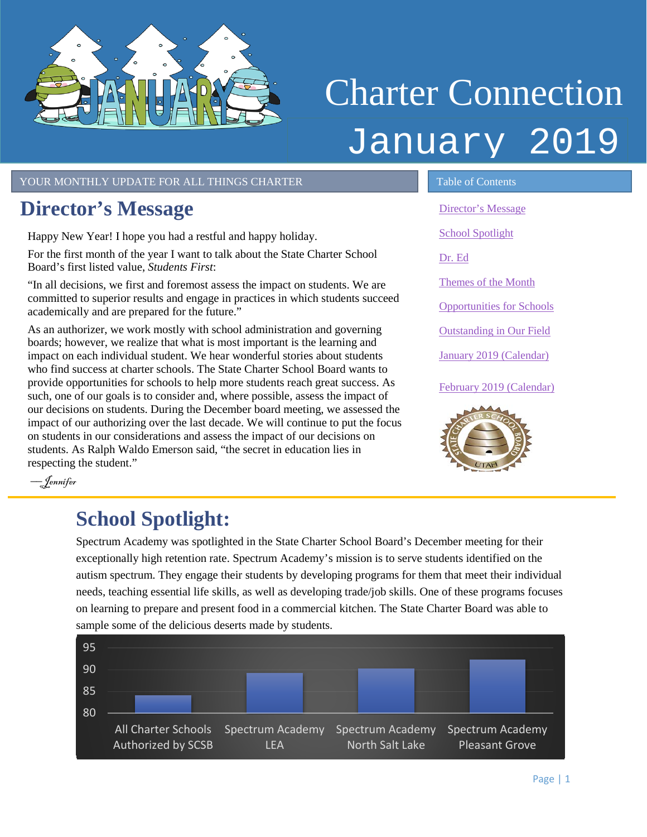<span id="page-0-1"></span>

# Charter Connection January 2019

YOUR MONTHLY UPDATE FOR ALL THINGS CHARTER TABLE OF Contents

## <span id="page-0-0"></span>**Director's Message**

Happy New Year! I hope you had a restful and happy holiday.

For the first month of the year I want to talk about the State Charter School Board's first listed value, *Students First*:

"In all decisions, we first and foremost assess the impact on students. We are committed to superior results and engage in practices in which students succeed academically and are prepared for the future."

As an authorizer, we work mostly with school administration and governing boards; however, we realize that what is most important is the learning and impact on each individual student. We hear wonderful stories about students who find success at charter schools. The State Charter School Board wants to provide opportunities for schools to help more students reach great success. As such, one of our goals is to consider and, where possible, assess the impact of our decisions on students. During the December board meeting, we assessed the impact of our authorizing over the last decade. We will continue to put the focus on students in our considerations and assess the impact of our decisions on students. As Ralph Waldo Emerson said, "the secret in education lies in respecting the student."

[Director's Message](#page-0-0) [School Spotlight](#page-0-1) [Dr. Ed](#page-1-0) [Themes of the Month](#page-1-1) [Opportunities for Schools](#page-2-0)  [Outstanding in Our Field](#page-2-1) [January 2019 \(Calendar\)](#page-3-0) February [2019 \(Calendar\)](#page-3-1)



l,

––Jennifer

## **School Spotlight:**

Spectrum Academy was spotlighted in the State Charter School Board's December meeting for their exceptionally high retention rate. Spectrum Academy's mission is to serve students identified on the autism spectrum. They engage their students by developing programs for them that meet their individual needs, teaching essential life skills, as well as developing trade/job skills. One of these programs focuses on learning to prepare and present food in a commercial kitchen. The State Charter Board was able to sample some of the delicious deserts made by students.

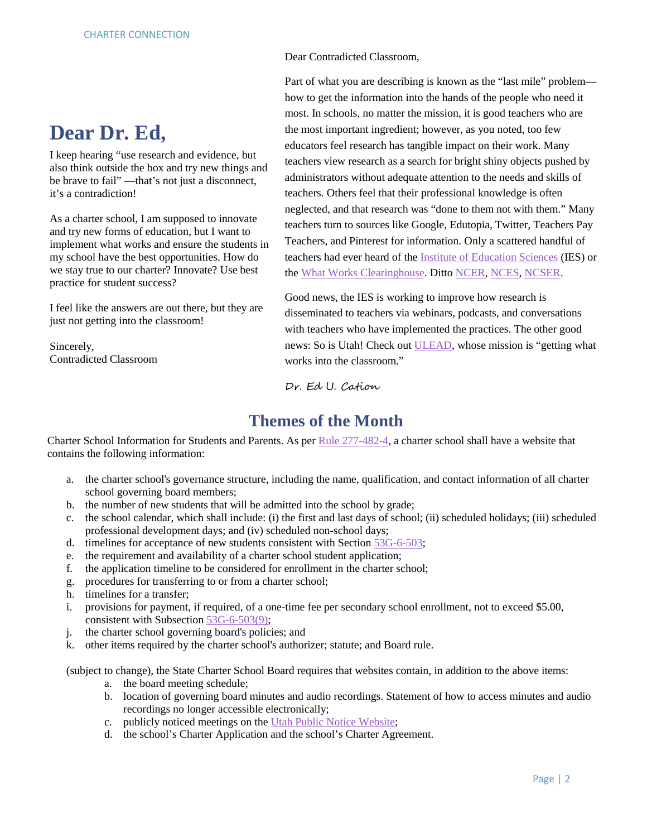## <span id="page-1-0"></span>**Dear Dr. Ed,**

I keep hearing "use research and evidence, but also think outside the box and try new things and be brave to fail" ––that's not just a disconnect, it's a contradiction!

As a charter school, I am supposed to innovate and try new forms of education, but I want to implement what works and ensure the students in my school have the best opportunities. How do we stay true to our charter? Innovate? Use best practice for student success?

I feel like the answers are out there, but they are just not getting into the classroom!

Sincerely, Contradicted Classroom Dear Contradicted Classroom,

Part of what you are describing is known as the "last mile" problem how to get the information into the hands of the people who need it most. In schools, no matter the mission, it is good teachers who are the most important ingredient; however, as you noted, too few educators feel research has tangible impact on their work. Many teachers view research as a search for bright shiny objects pushed by administrators without adequate attention to the needs and skills of teachers. Others feel that their professional knowledge is often neglected, and that research was "done to them not with them." Many teachers turn to sources like Google, Edutopia, Twitter, Teachers Pay Teachers, and Pinterest for information. Only a scattered handful of teachers had ever heard of the [Institute of Education Sciences](https://ies.ed.gov/) (IES) or the [What Works Clearinghouse.](https://ies.ed.gov/ncee/wwc/) Ditto [NCER,](https://ies.ed.gov/ncer/) [NCES,](https://nces.ed.gov/) [NCSER.](https://ies.ed.gov/ncser/)

Good news, the IES is working to improve how research is disseminated to teachers via webinars, podcasts, and conversations with teachers who have implemented the practices. The other good news: So is Utah! Check out [ULEAD,](https://schools.utah.gov/ulead) whose mission is "getting what works into the classroom."

Dr. Ed U. Cation

#### **Themes of the Month**

<span id="page-1-1"></span>Charter School Information for Students and Parents. As per [Rule 277-482-4,](https://rules.utah.gov/publicat/code/r277/r277-482.htm#T4) a charter school shall have a website that contains the following information:

- a. the charter school's governance structure, including the name, qualification, and contact information of all charter school governing board members;
- b. the number of new students that will be admitted into the school by grade;
- c. the school calendar, which shall include: (i) the first and last days of school; (ii) scheduled holidays; (iii) scheduled professional development days; and (iv) scheduled non-school days;
- d. timelines for acceptance of new students consistent with Section [53G-6-503;](https://le.utah.gov/xcode/Title53G/Chapter6/53G-6-S503.html?v=C53G-6-S503_2018012420180124)
- e. the requirement and availability of a charter school student application;
- f. the application timeline to be considered for enrollment in the charter school;
- g. procedures for transferring to or from a charter school;
- h. timelines for a transfer;
- i. provisions for payment, if required, of a one-time fee per secondary school enrollment, not to exceed \$5.00, consistent with Subsection [53G-6-503\(9\);](https://le.utah.gov/xcode/Title53G/Chapter6/53G-6-S503.html?v=C53G-6-S503_2018012420180124)
- j. the charter school governing board's policies; and
- k. other items required by the charter school's authorizer; statute; and Board rule.

(subject to change), the State Charter School Board requires that websites contain, in addition to the above items:

- a. the board meeting schedule;
- b. location of governing board minutes and audio recordings. Statement of how to access minutes and audio recordings no longer accessible electronically;
- c. publicly noticed meetings on the [Utah Public Notice Website;](https://www.utah.gov/pmn/index.html)
- d. the school's Charter Application and the school's Charter Agreement.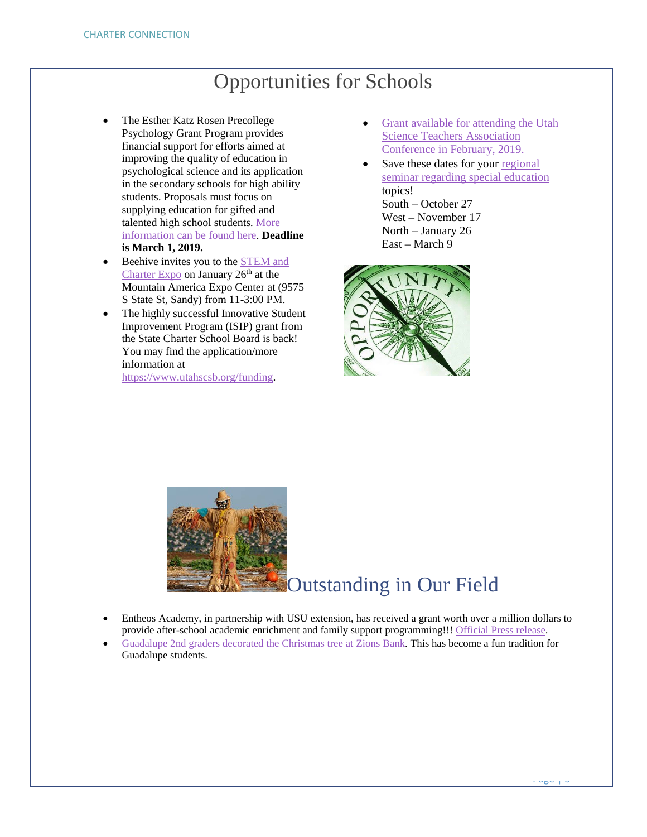## Opportunities for Schools

- <span id="page-2-0"></span>• The Esther Katz Rosen Precollege Psychology Grant Program provides financial support for efforts aimed at improving the quality of education in psychological science and its application in the secondary schools for high ability students. Proposals must focus on supplying education for gifted and talented high school students. [More](https://drive.google.com/file/d/1WOzmyoTCxJQxOd7VEgnjgMiMN0IbLfhl/view?usp=sharing)  [information can be found here.](https://drive.google.com/file/d/1WOzmyoTCxJQxOd7VEgnjgMiMN0IbLfhl/view?usp=sharing) **Deadline is March 1, 2019.**
- Beehive invites you to the STEM and [Charter Expo](https://twitter.com/BeehiveAcademy/status/1080486975579156480) on January 26th at the Mountain America Expo Center at (9575 S State St, Sandy) from 11-3:00 PM.
- The highly successful Innovative Student Improvement Program (ISIP) grant from the State Charter School Board is back! You may find the application/more information at

[https://www.utahscsb.org/funding.](https://www.utahscsb.org/funding)

- [Grant available for attending the Utah](https://drive.google.com/file/d/1S61gyKANln6Nl_5BHwg9VYu5e5FvUmJX/view?usp=sharing)  [Science Teachers Association](https://drive.google.com/file/d/1S61gyKANln6Nl_5BHwg9VYu5e5FvUmJX/view?usp=sharing)  [Conference in February, 2019.](https://drive.google.com/file/d/1S61gyKANln6Nl_5BHwg9VYu5e5FvUmJX/view?usp=sharing)
- Save these dates for your regional [seminar regarding special education](https://drive.google.com/file/d/1JEg657aeIGbM-BDTb7Z427Iprf1shI54/view?usp=sharing) topics! South – October 27 West – November 17 North – January 26 East – March 9



<span id="page-2-1"></span>

## Outstanding in Our Field

- Entheos Academy, in partnership with USU extension, has received a grant worth over a million dollars to provide after-school academic enrichment and family support programming!!! [Official Press release.](https://drive.google.com/file/d/1Fdr9wBlvkAGQBVMOExAzS-Dg87oA89-q/view)
- [Guadalupe 2nd graders decorated the Christmas tree at Zions Bank.](https://twitter.com/GuadSchool/status/1070452859597176832) This has become a fun tradition for Guadalupe students.